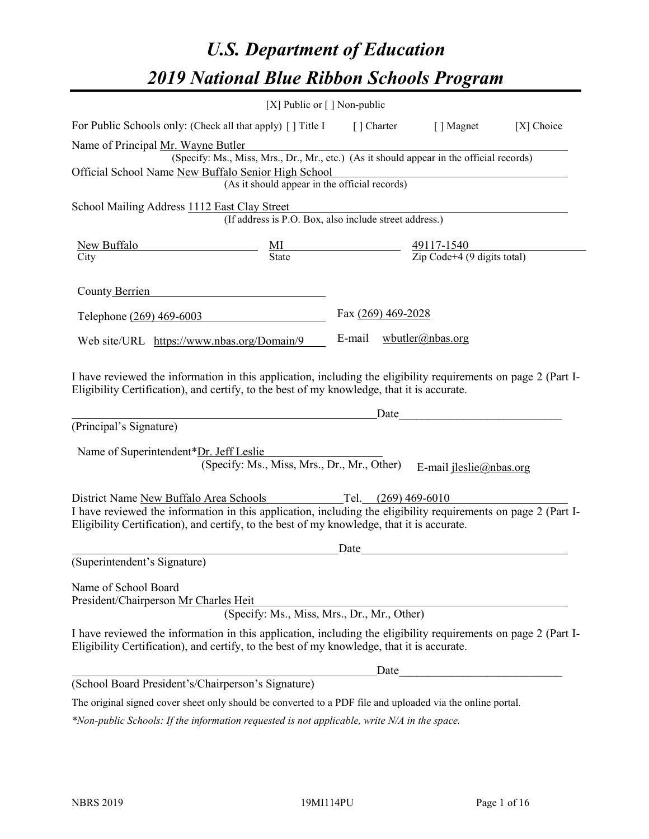# *U.S. Department of Education 2019 National Blue Ribbon Schools Program*

|                                                                                                                                                                                                              | [X] Public or $\lceil$ ] Non-public                                                      |        |                    |                                                         |            |
|--------------------------------------------------------------------------------------------------------------------------------------------------------------------------------------------------------------|------------------------------------------------------------------------------------------|--------|--------------------|---------------------------------------------------------|------------|
| For Public Schools only: (Check all that apply) [ ] Title I [ ] Charter                                                                                                                                      |                                                                                          |        |                    | [ ] Magnet                                              | [X] Choice |
| Name of Principal Mr. Wayne Butler                                                                                                                                                                           |                                                                                          |        |                    |                                                         |            |
|                                                                                                                                                                                                              | (Specify: Ms., Miss, Mrs., Dr., Mr., etc.) (As it should appear in the official records) |        |                    |                                                         |            |
| Official School Name New Buffalo Senior High School                                                                                                                                                          |                                                                                          |        |                    |                                                         |            |
|                                                                                                                                                                                                              | (As it should appear in the official records)                                            |        |                    |                                                         |            |
| School Mailing Address 1112 East Clay Street                                                                                                                                                                 |                                                                                          |        |                    |                                                         |            |
|                                                                                                                                                                                                              | (If address is P.O. Box, also include street address.)                                   |        |                    |                                                         |            |
| <b>New Buffalo</b>                                                                                                                                                                                           | $\frac{\text{MI}}{\text{State}}$                                                         |        |                    |                                                         |            |
| City                                                                                                                                                                                                         |                                                                                          |        |                    | $\frac{49117-1540}{\text{Zip Code}+4 (9 digits total)}$ |            |
| County Berrien                                                                                                                                                                                               |                                                                                          |        |                    |                                                         |            |
| Telephone (269) 469-6003                                                                                                                                                                                     |                                                                                          |        | Fax (269) 469-2028 |                                                         |            |
| Web site/URL https://www.nbas.org/Domain/9                                                                                                                                                                   |                                                                                          | E-mail |                    | $wbutler(a)$ nbas.org                                   |            |
| (Principal's Signature)                                                                                                                                                                                      |                                                                                          |        | Date               |                                                         |            |
|                                                                                                                                                                                                              |                                                                                          |        |                    |                                                         |            |
| Name of Superintendent*Dr. Jeff Leslie                                                                                                                                                                       |                                                                                          |        |                    |                                                         |            |
|                                                                                                                                                                                                              | (Specify: Ms., Miss, Mrs., Dr., Mr., Other)                                              |        |                    | E-mail $jleslie(@nbas.org$                              |            |
| District Name New Buffalo Area Schools Tel. (269) 469-6010                                                                                                                                                   |                                                                                          |        |                    |                                                         |            |
| I have reviewed the information in this application, including the eligibility requirements on page 2 (Part I-<br>Eligibility Certification), and certify, to the best of my knowledge, that it is accurate. |                                                                                          |        |                    |                                                         |            |
|                                                                                                                                                                                                              |                                                                                          | Date   |                    |                                                         |            |
| (Superintendent's Signature)                                                                                                                                                                                 |                                                                                          |        |                    |                                                         |            |
| Name of School Board<br>President/Chairperson Mr Charles Heit                                                                                                                                                |                                                                                          |        |                    |                                                         |            |
|                                                                                                                                                                                                              | (Specify: Ms., Miss, Mrs., Dr., Mr., Other)                                              |        |                    |                                                         |            |
| I have reviewed the information in this application, including the eligibility requirements on page 2 (Part I-<br>Eligibility Certification), and certify, to the best of my knowledge, that it is accurate. |                                                                                          |        |                    |                                                         |            |
|                                                                                                                                                                                                              |                                                                                          |        | Date               |                                                         |            |
| (School Board President's/Chairperson's Signature)                                                                                                                                                           |                                                                                          |        |                    |                                                         |            |
| The original signed cover sheet only should be converted to a PDF file and uploaded via the online portal.                                                                                                   |                                                                                          |        |                    |                                                         |            |

*\*Non-public Schools: If the information requested is not applicable, write N/A in the space.*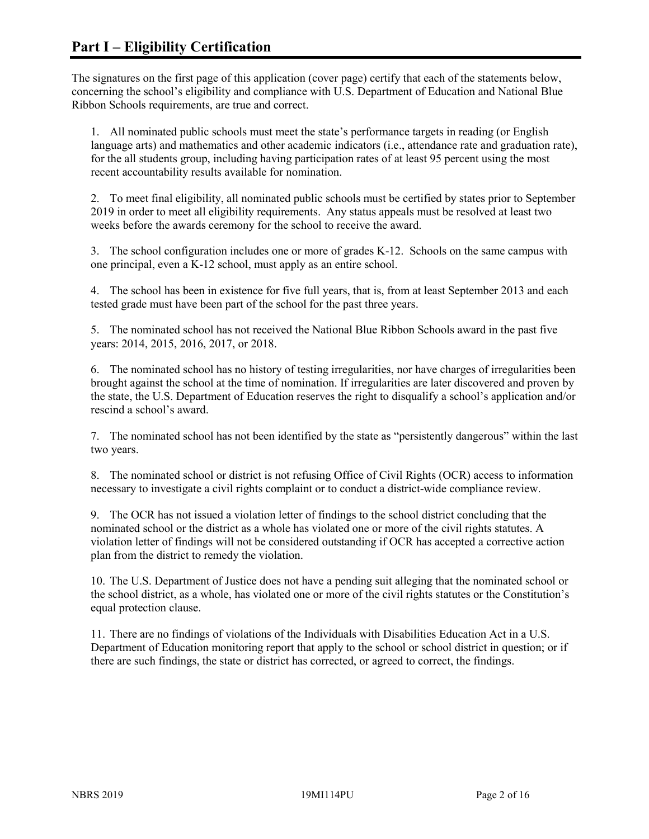The signatures on the first page of this application (cover page) certify that each of the statements below, concerning the school's eligibility and compliance with U.S. Department of Education and National Blue Ribbon Schools requirements, are true and correct.

1. All nominated public schools must meet the state's performance targets in reading (or English language arts) and mathematics and other academic indicators (i.e., attendance rate and graduation rate), for the all students group, including having participation rates of at least 95 percent using the most recent accountability results available for nomination.

2. To meet final eligibility, all nominated public schools must be certified by states prior to September 2019 in order to meet all eligibility requirements. Any status appeals must be resolved at least two weeks before the awards ceremony for the school to receive the award.

3. The school configuration includes one or more of grades K-12. Schools on the same campus with one principal, even a K-12 school, must apply as an entire school.

4. The school has been in existence for five full years, that is, from at least September 2013 and each tested grade must have been part of the school for the past three years.

5. The nominated school has not received the National Blue Ribbon Schools award in the past five years: 2014, 2015, 2016, 2017, or 2018.

6. The nominated school has no history of testing irregularities, nor have charges of irregularities been brought against the school at the time of nomination. If irregularities are later discovered and proven by the state, the U.S. Department of Education reserves the right to disqualify a school's application and/or rescind a school's award.

7. The nominated school has not been identified by the state as "persistently dangerous" within the last two years.

8. The nominated school or district is not refusing Office of Civil Rights (OCR) access to information necessary to investigate a civil rights complaint or to conduct a district-wide compliance review.

9. The OCR has not issued a violation letter of findings to the school district concluding that the nominated school or the district as a whole has violated one or more of the civil rights statutes. A violation letter of findings will not be considered outstanding if OCR has accepted a corrective action plan from the district to remedy the violation.

10. The U.S. Department of Justice does not have a pending suit alleging that the nominated school or the school district, as a whole, has violated one or more of the civil rights statutes or the Constitution's equal protection clause.

11. There are no findings of violations of the Individuals with Disabilities Education Act in a U.S. Department of Education monitoring report that apply to the school or school district in question; or if there are such findings, the state or district has corrected, or agreed to correct, the findings.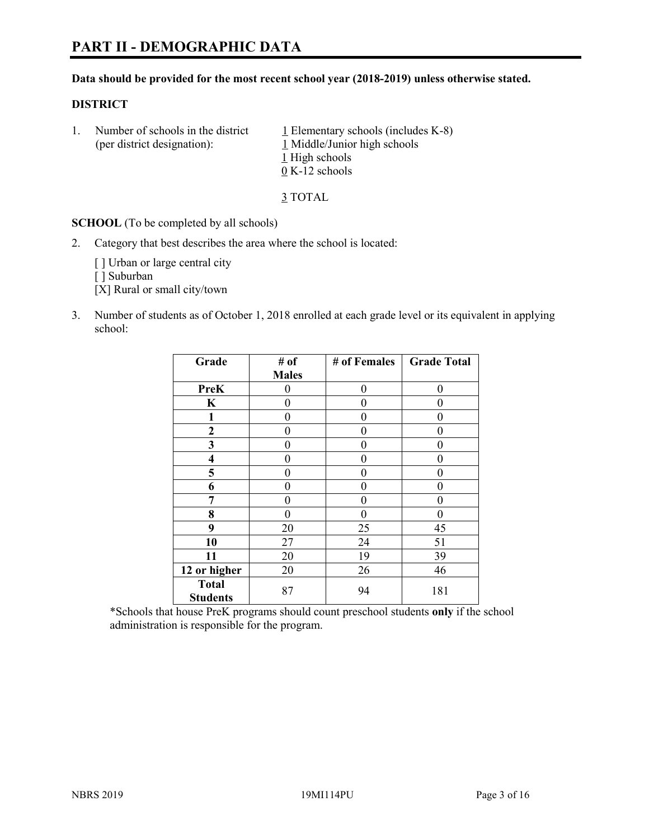# **PART II - DEMOGRAPHIC DATA**

#### **Data should be provided for the most recent school year (2018-2019) unless otherwise stated.**

#### **DISTRICT**

1. Number of schools in the district  $1$  Elementary schools (includes K-8) (per district designation): 1 Middle/Junior high schools 1 High schools 0 K-12 schools

3 TOTAL

**SCHOOL** (To be completed by all schools)

2. Category that best describes the area where the school is located:

[] Urban or large central city

[ ] Suburban

[X] Rural or small city/town

3. Number of students as of October 1, 2018 enrolled at each grade level or its equivalent in applying school:

| Grade                           | # of         | # of Females | <b>Grade Total</b> |
|---------------------------------|--------------|--------------|--------------------|
|                                 | <b>Males</b> |              |                    |
| <b>PreK</b>                     | 0            | $\theta$     | 0                  |
| $\mathbf K$                     | 0            | $\theta$     | 0                  |
| 1                               | 0            | 0            | 0                  |
| 2                               | 0            | 0            | 0                  |
| 3                               | 0            | 0            | 0                  |
| $\overline{\mathbf{4}}$         | 0            | $\theta$     | 0                  |
| 5                               | 0            | $\theta$     | 0                  |
| 6                               | 0            | $\theta$     | 0                  |
| 7                               | 0            | $\theta$     | 0                  |
| 8                               | 0            | 0            | 0                  |
| 9                               | 20           | 25           | 45                 |
| 10                              | 27           | 24           | 51                 |
| 11                              | 20           | 19           | 39                 |
| 12 or higher                    | 20           | 26           | 46                 |
| <b>Total</b><br><b>Students</b> | 87           | 94           | 181                |

\*Schools that house PreK programs should count preschool students **only** if the school administration is responsible for the program.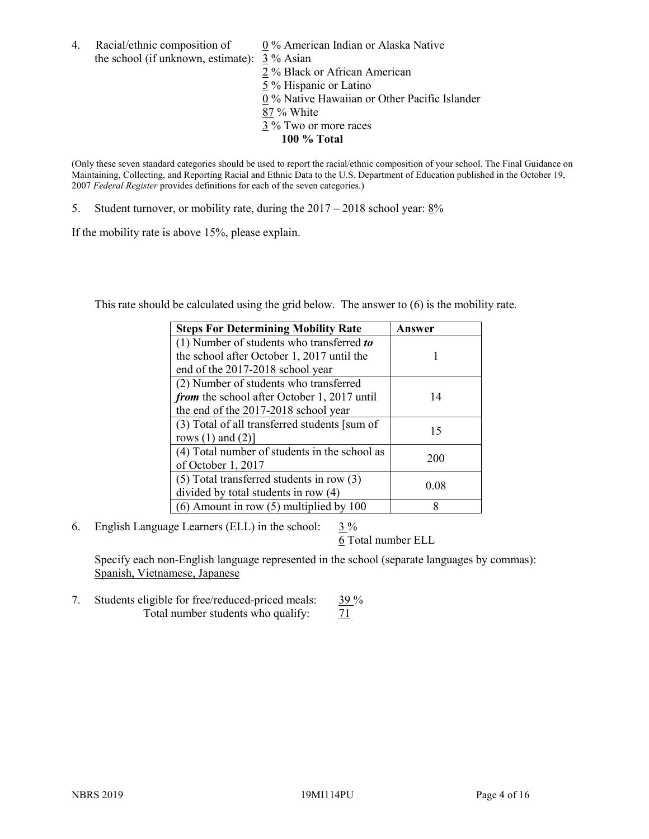4. Racial/ethnic composition of  $0\%$  American Indian or Alaska Native the school (if unknown, estimate): 3 % Asian

2 % Black or African American  $\frac{5}{5}$ % Hispanic or Latino 0 % Native Hawaiian or Other Pacific Islander 87 % White 3 % Two or more races **100 % Total**

(Only these seven standard categories should be used to report the racial/ethnic composition of your school. The Final Guidance on Maintaining, Collecting, and Reporting Racial and Ethnic Data to the U.S. Department of Education published in the October 19, 2007 *Federal Register* provides definitions for each of the seven categories.)

5. Student turnover, or mobility rate, during the 2017 – 2018 school year: 8%

If the mobility rate is above 15%, please explain.

This rate should be calculated using the grid below. The answer to (6) is the mobility rate.

| <b>Steps For Determining Mobility Rate</b>    | Answer |
|-----------------------------------------------|--------|
| (1) Number of students who transferred to     |        |
| the school after October 1, 2017 until the    |        |
| end of the 2017-2018 school year              |        |
| (2) Number of students who transferred        |        |
| from the school after October 1, 2017 until   | 14     |
| the end of the 2017-2018 school year          |        |
| (3) Total of all transferred students [sum of | 15     |
| rows $(1)$ and $(2)$ ]                        |        |
| (4) Total number of students in the school as |        |
| of October 1, 2017                            | 200    |
| $(5)$ Total transferred students in row $(3)$ |        |
| divided by total students in row (4)          | 0.08   |
| $(6)$ Amount in row $(5)$ multiplied by 100   | 8      |

6. English Language Learners (ELL) in the school:  $3\%$ 

6 Total number ELL

Specify each non-English language represented in the school (separate languages by commas): Spanish, Vietnamese, Japanese

7. Students eligible for free/reduced-priced meals:  $\frac{39\%}{71}$ Total number students who qualify: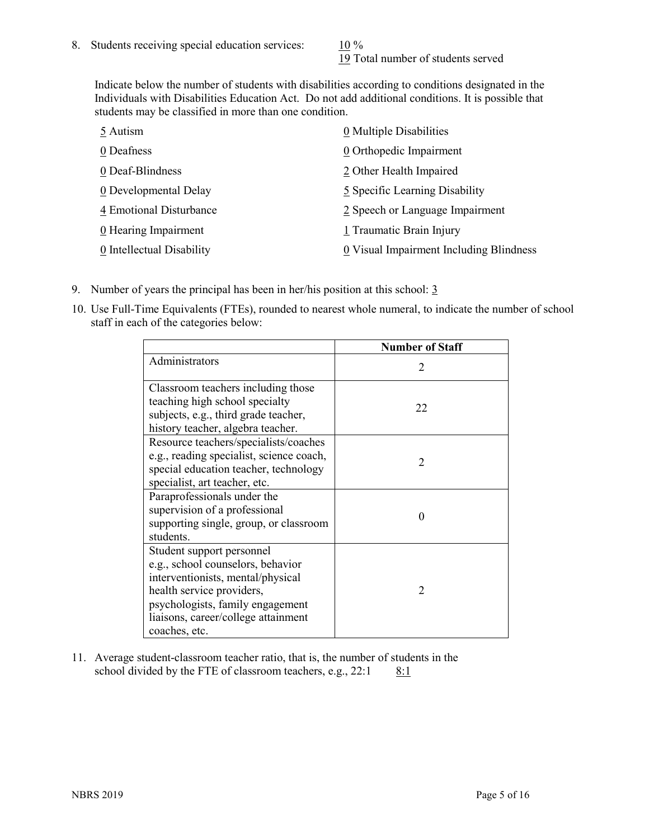19 Total number of students served

Indicate below the number of students with disabilities according to conditions designated in the Individuals with Disabilities Education Act. Do not add additional conditions. It is possible that students may be classified in more than one condition.

| 5 Autism                  | 0 Multiple Disabilities                 |
|---------------------------|-----------------------------------------|
| 0 Deafness                | 0 Orthopedic Impairment                 |
| 0 Deaf-Blindness          | 2 Other Health Impaired                 |
| 0 Developmental Delay     | 5 Specific Learning Disability          |
| 4 Emotional Disturbance   | 2 Speech or Language Impairment         |
| 0 Hearing Impairment      | 1 Traumatic Brain Injury                |
| 0 Intellectual Disability | 0 Visual Impairment Including Blindness |

- 9. Number of years the principal has been in her/his position at this school:  $\frac{3}{5}$
- 10. Use Full-Time Equivalents (FTEs), rounded to nearest whole numeral, to indicate the number of school staff in each of the categories below:

|                                                                                                                                                                                                                              | <b>Number of Staff</b>      |
|------------------------------------------------------------------------------------------------------------------------------------------------------------------------------------------------------------------------------|-----------------------------|
| Administrators                                                                                                                                                                                                               | $\mathcal{D}_{\mathcal{A}}$ |
| Classroom teachers including those<br>teaching high school specialty<br>subjects, e.g., third grade teacher,<br>history teacher, algebra teacher.                                                                            | 22                          |
| Resource teachers/specialists/coaches<br>e.g., reading specialist, science coach,<br>special education teacher, technology<br>specialist, art teacher, etc.                                                                  | $\mathcal{D}$               |
| Paraprofessionals under the<br>supervision of a professional<br>supporting single, group, or classroom<br>students.                                                                                                          | 0                           |
| Student support personnel<br>e.g., school counselors, behavior<br>interventionists, mental/physical<br>health service providers,<br>psychologists, family engagement<br>liaisons, career/college attainment<br>coaches, etc. | $\mathfrak{D}_{1}^{(1)}$    |

11. Average student-classroom teacher ratio, that is, the number of students in the school divided by the FTE of classroom teachers, e.g.,  $22:1$  8:1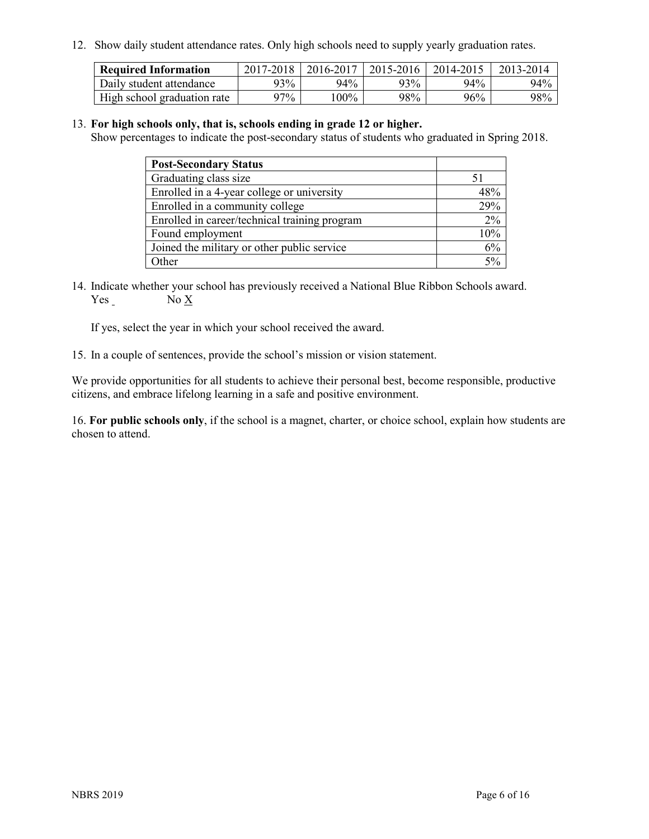12. Show daily student attendance rates. Only high schools need to supply yearly graduation rates.

| <b>Required Information</b> | 2017-2018 | 2016-2017 | 2015-2016 | 2014-2015 | 2013-2014 |
|-----------------------------|-----------|-----------|-----------|-----------|-----------|
| Daily student attendance    | 93%       | 94%       | 93%       | $94\%$    | 94%       |
| High school graduation rate | $27\%$    | $00\%$    | 98%       | 96%       | 98%       |

#### 13. **For high schools only, that is, schools ending in grade 12 or higher.**

Show percentages to indicate the post-secondary status of students who graduated in Spring 2018.

| <b>Post-Secondary Status</b>                  |     |
|-----------------------------------------------|-----|
| Graduating class size                         |     |
| Enrolled in a 4-year college or university    | 48% |
| Enrolled in a community college               | 29% |
| Enrolled in career/technical training program | 2%  |
| Found employment                              | 10% |
| Joined the military or other public service   | 6%  |
| Other                                         | 50/ |

14. Indicate whether your school has previously received a National Blue Ribbon Schools award. Yes No X

If yes, select the year in which your school received the award.

15. In a couple of sentences, provide the school's mission or vision statement.

We provide opportunities for all students to achieve their personal best, become responsible, productive citizens, and embrace lifelong learning in a safe and positive environment.

16. **For public schools only**, if the school is a magnet, charter, or choice school, explain how students are chosen to attend.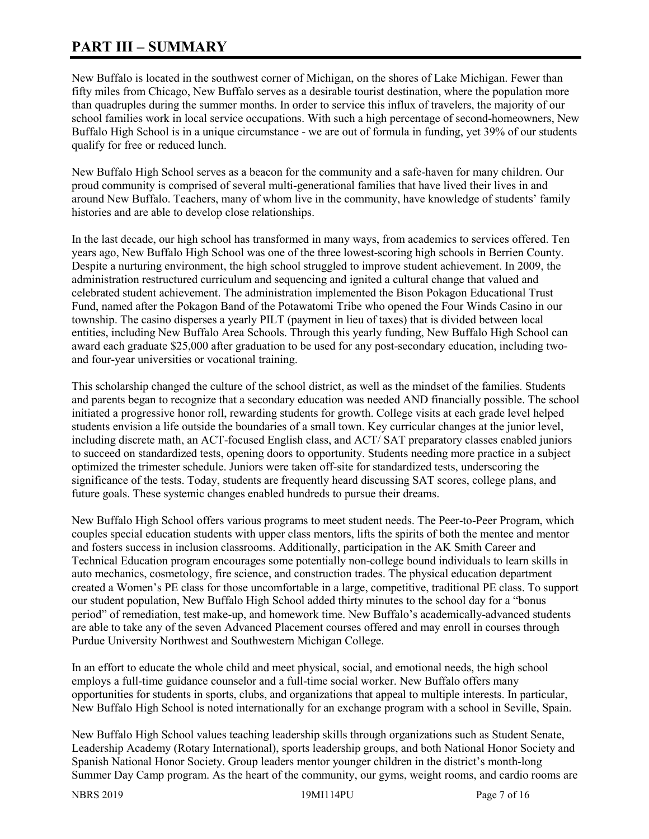# **PART III – SUMMARY**

New Buffalo is located in the southwest corner of Michigan, on the shores of Lake Michigan. Fewer than fifty miles from Chicago, New Buffalo serves as a desirable tourist destination, where the population more than quadruples during the summer months. In order to service this influx of travelers, the majority of our school families work in local service occupations. With such a high percentage of second-homeowners, New Buffalo High School is in a unique circumstance - we are out of formula in funding, yet 39% of our students qualify for free or reduced lunch.

New Buffalo High School serves as a beacon for the community and a safe-haven for many children. Our proud community is comprised of several multi-generational families that have lived their lives in and around New Buffalo. Teachers, many of whom live in the community, have knowledge of students' family histories and are able to develop close relationships.

In the last decade, our high school has transformed in many ways, from academics to services offered. Ten years ago, New Buffalo High School was one of the three lowest-scoring high schools in Berrien County. Despite a nurturing environment, the high school struggled to improve student achievement. In 2009, the administration restructured curriculum and sequencing and ignited a cultural change that valued and celebrated student achievement. The administration implemented the Bison Pokagon Educational Trust Fund, named after the Pokagon Band of the Potawatomi Tribe who opened the Four Winds Casino in our township. The casino disperses a yearly PILT (payment in lieu of taxes) that is divided between local entities, including New Buffalo Area Schools. Through this yearly funding, New Buffalo High School can award each graduate \$25,000 after graduation to be used for any post-secondary education, including twoand four-year universities or vocational training.

This scholarship changed the culture of the school district, as well as the mindset of the families. Students and parents began to recognize that a secondary education was needed AND financially possible. The school initiated a progressive honor roll, rewarding students for growth. College visits at each grade level helped students envision a life outside the boundaries of a small town. Key curricular changes at the junior level, including discrete math, an ACT-focused English class, and ACT/ SAT preparatory classes enabled juniors to succeed on standardized tests, opening doors to opportunity. Students needing more practice in a subject optimized the trimester schedule. Juniors were taken off-site for standardized tests, underscoring the significance of the tests. Today, students are frequently heard discussing SAT scores, college plans, and future goals. These systemic changes enabled hundreds to pursue their dreams.

New Buffalo High School offers various programs to meet student needs. The Peer-to-Peer Program, which couples special education students with upper class mentors, lifts the spirits of both the mentee and mentor and fosters success in inclusion classrooms. Additionally, participation in the AK Smith Career and Technical Education program encourages some potentially non-college bound individuals to learn skills in auto mechanics, cosmetology, fire science, and construction trades. The physical education department created a Women's PE class for those uncomfortable in a large, competitive, traditional PE class. To support our student population, New Buffalo High School added thirty minutes to the school day for a "bonus period" of remediation, test make-up, and homework time. New Buffalo's academically-advanced students are able to take any of the seven Advanced Placement courses offered and may enroll in courses through Purdue University Northwest and Southwestern Michigan College.

In an effort to educate the whole child and meet physical, social, and emotional needs, the high school employs a full-time guidance counselor and a full-time social worker. New Buffalo offers many opportunities for students in sports, clubs, and organizations that appeal to multiple interests. In particular, New Buffalo High School is noted internationally for an exchange program with a school in Seville, Spain.

New Buffalo High School values teaching leadership skills through organizations such as Student Senate, Leadership Academy (Rotary International), sports leadership groups, and both National Honor Society and Spanish National Honor Society. Group leaders mentor younger children in the district's month-long Summer Day Camp program. As the heart of the community, our gyms, weight rooms, and cardio rooms are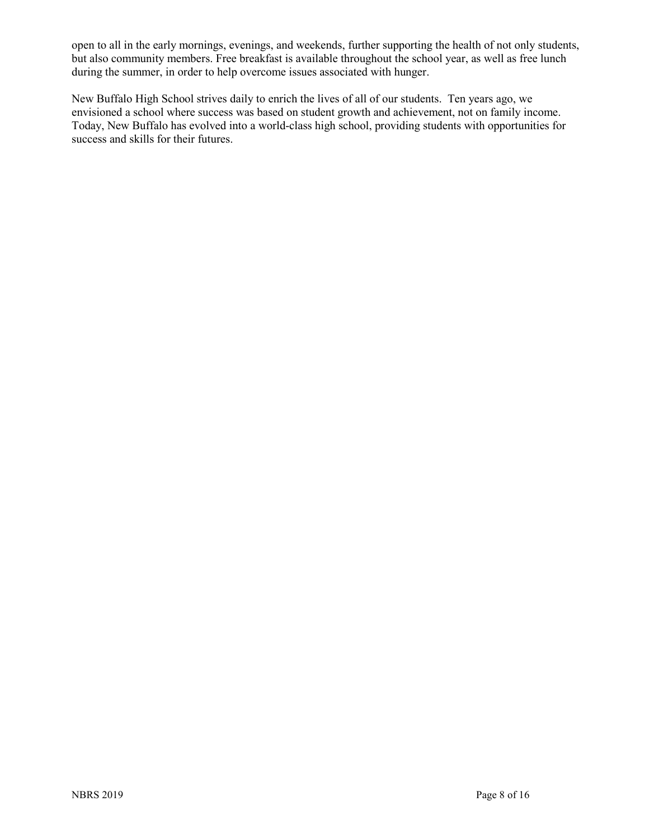open to all in the early mornings, evenings, and weekends, further supporting the health of not only students, but also community members. Free breakfast is available throughout the school year, as well as free lunch during the summer, in order to help overcome issues associated with hunger.

New Buffalo High School strives daily to enrich the lives of all of our students. Ten years ago, we envisioned a school where success was based on student growth and achievement, not on family income. Today, New Buffalo has evolved into a world-class high school, providing students with opportunities for success and skills for their futures.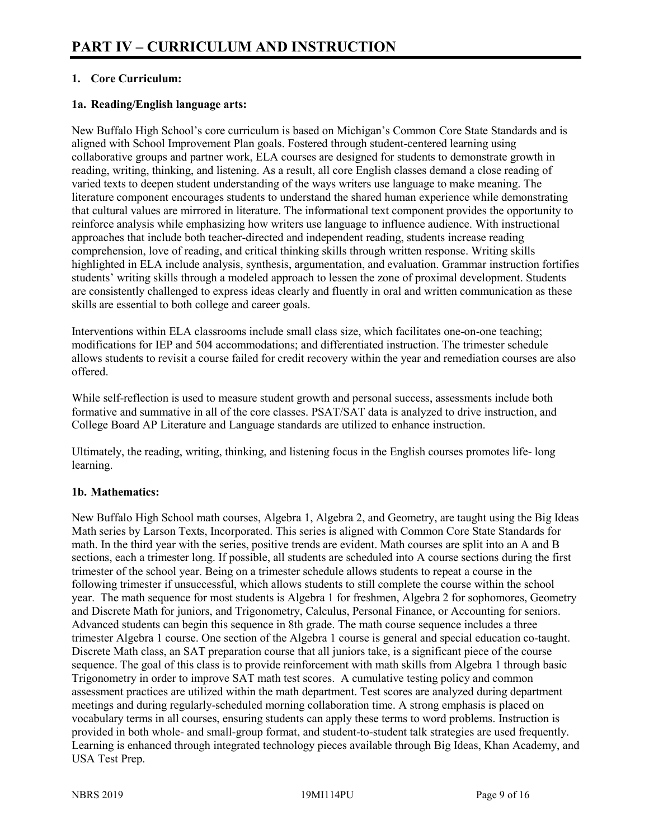# **1. Core Curriculum:**

# **1a. Reading/English language arts:**

New Buffalo High School's core curriculum is based on Michigan's Common Core State Standards and is aligned with School Improvement Plan goals. Fostered through student-centered learning using collaborative groups and partner work, ELA courses are designed for students to demonstrate growth in reading, writing, thinking, and listening. As a result, all core English classes demand a close reading of varied texts to deepen student understanding of the ways writers use language to make meaning. The literature component encourages students to understand the shared human experience while demonstrating that cultural values are mirrored in literature. The informational text component provides the opportunity to reinforce analysis while emphasizing how writers use language to influence audience. With instructional approaches that include both teacher-directed and independent reading, students increase reading comprehension, love of reading, and critical thinking skills through written response. Writing skills highlighted in ELA include analysis, synthesis, argumentation, and evaluation. Grammar instruction fortifies students' writing skills through a modeled approach to lessen the zone of proximal development. Students are consistently challenged to express ideas clearly and fluently in oral and written communication as these skills are essential to both college and career goals.

Interventions within ELA classrooms include small class size, which facilitates one-on-one teaching; modifications for IEP and 504 accommodations; and differentiated instruction. The trimester schedule allows students to revisit a course failed for credit recovery within the year and remediation courses are also offered.

While self-reflection is used to measure student growth and personal success, assessments include both formative and summative in all of the core classes. PSAT/SAT data is analyzed to drive instruction, and College Board AP Literature and Language standards are utilized to enhance instruction.

Ultimately, the reading, writing, thinking, and listening focus in the English courses promotes life- long learning.

#### **1b. Mathematics:**

New Buffalo High School math courses, Algebra 1, Algebra 2, and Geometry, are taught using the Big Ideas Math series by Larson Texts, Incorporated. This series is aligned with Common Core State Standards for math. In the third year with the series, positive trends are evident. Math courses are split into an A and B sections, each a trimester long. If possible, all students are scheduled into A course sections during the first trimester of the school year. Being on a trimester schedule allows students to repeat a course in the following trimester if unsuccessful, which allows students to still complete the course within the school year. The math sequence for most students is Algebra 1 for freshmen, Algebra 2 for sophomores, Geometry and Discrete Math for juniors, and Trigonometry, Calculus, Personal Finance, or Accounting for seniors. Advanced students can begin this sequence in 8th grade. The math course sequence includes a three trimester Algebra 1 course. One section of the Algebra 1 course is general and special education co-taught. Discrete Math class, an SAT preparation course that all juniors take, is a significant piece of the course sequence. The goal of this class is to provide reinforcement with math skills from Algebra 1 through basic Trigonometry in order to improve SAT math test scores. A cumulative testing policy and common assessment practices are utilized within the math department. Test scores are analyzed during department meetings and during regularly-scheduled morning collaboration time. A strong emphasis is placed on vocabulary terms in all courses, ensuring students can apply these terms to word problems. Instruction is provided in both whole- and small-group format, and student-to-student talk strategies are used frequently. Learning is enhanced through integrated technology pieces available through Big Ideas, Khan Academy, and USA Test Prep.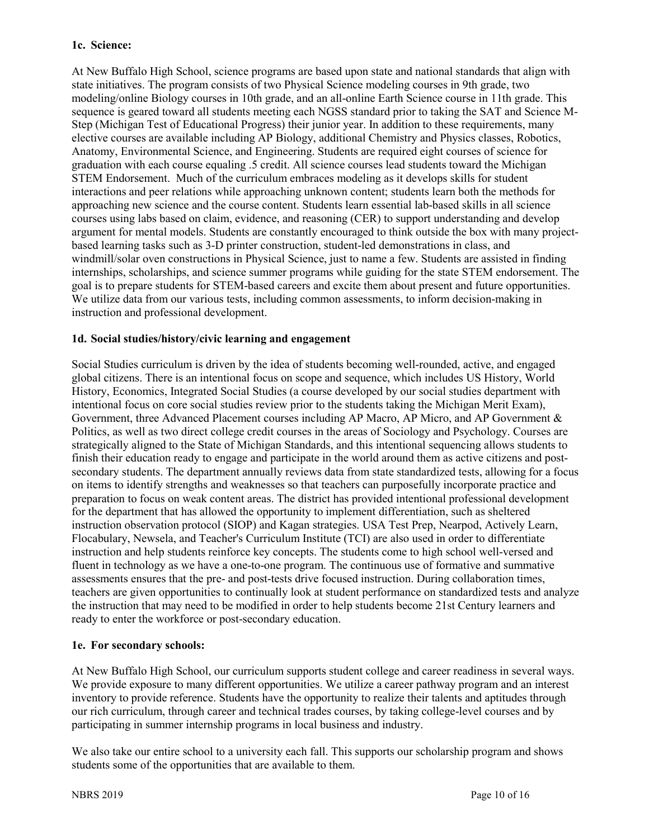## **1c. Science:**

At New Buffalo High School, science programs are based upon state and national standards that align with state initiatives. The program consists of two Physical Science modeling courses in 9th grade, two modeling/online Biology courses in 10th grade, and an all-online Earth Science course in 11th grade. This sequence is geared toward all students meeting each NGSS standard prior to taking the SAT and Science M-Step (Michigan Test of Educational Progress) their junior year. In addition to these requirements, many elective courses are available including AP Biology, additional Chemistry and Physics classes, Robotics, Anatomy, Environmental Science, and Engineering. Students are required eight courses of science for graduation with each course equaling .5 credit. All science courses lead students toward the Michigan STEM Endorsement. Much of the curriculum embraces modeling as it develops skills for student interactions and peer relations while approaching unknown content; students learn both the methods for approaching new science and the course content. Students learn essential lab-based skills in all science courses using labs based on claim, evidence, and reasoning (CER) to support understanding and develop argument for mental models. Students are constantly encouraged to think outside the box with many projectbased learning tasks such as 3-D printer construction, student-led demonstrations in class, and windmill/solar oven constructions in Physical Science, just to name a few. Students are assisted in finding internships, scholarships, and science summer programs while guiding for the state STEM endorsement. The goal is to prepare students for STEM-based careers and excite them about present and future opportunities. We utilize data from our various tests, including common assessments, to inform decision-making in instruction and professional development.

## **1d. Social studies/history/civic learning and engagement**

Social Studies curriculum is driven by the idea of students becoming well-rounded, active, and engaged global citizens. There is an intentional focus on scope and sequence, which includes US History, World History, Economics, Integrated Social Studies (a course developed by our social studies department with intentional focus on core social studies review prior to the students taking the Michigan Merit Exam), Government, three Advanced Placement courses including AP Macro, AP Micro, and AP Government & Politics, as well as two direct college credit courses in the areas of Sociology and Psychology. Courses are strategically aligned to the State of Michigan Standards, and this intentional sequencing allows students to finish their education ready to engage and participate in the world around them as active citizens and postsecondary students. The department annually reviews data from state standardized tests, allowing for a focus on items to identify strengths and weaknesses so that teachers can purposefully incorporate practice and preparation to focus on weak content areas. The district has provided intentional professional development for the department that has allowed the opportunity to implement differentiation, such as sheltered instruction observation protocol (SIOP) and Kagan strategies. USA Test Prep, Nearpod, Actively Learn, Flocabulary, Newsela, and Teacher's Curriculum Institute (TCI) are also used in order to differentiate instruction and help students reinforce key concepts. The students come to high school well-versed and fluent in technology as we have a one-to-one program. The continuous use of formative and summative assessments ensures that the pre- and post-tests drive focused instruction. During collaboration times, teachers are given opportunities to continually look at student performance on standardized tests and analyze the instruction that may need to be modified in order to help students become 21st Century learners and ready to enter the workforce or post-secondary education.

#### **1e. For secondary schools:**

At New Buffalo High School, our curriculum supports student college and career readiness in several ways. We provide exposure to many different opportunities. We utilize a career pathway program and an interest inventory to provide reference. Students have the opportunity to realize their talents and aptitudes through our rich curriculum, through career and technical trades courses, by taking college-level courses and by participating in summer internship programs in local business and industry.

We also take our entire school to a university each fall. This supports our scholarship program and shows students some of the opportunities that are available to them.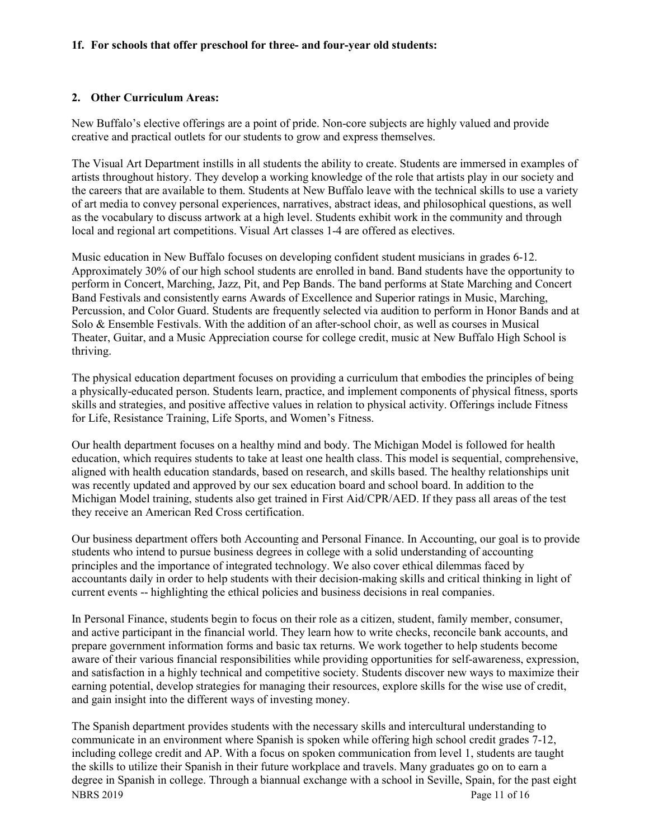#### **1f. For schools that offer preschool for three- and four-year old students:**

#### **2. Other Curriculum Areas:**

New Buffalo's elective offerings are a point of pride. Non-core subjects are highly valued and provide creative and practical outlets for our students to grow and express themselves.

The Visual Art Department instills in all students the ability to create. Students are immersed in examples of artists throughout history. They develop a working knowledge of the role that artists play in our society and the careers that are available to them. Students at New Buffalo leave with the technical skills to use a variety of art media to convey personal experiences, narratives, abstract ideas, and philosophical questions, as well as the vocabulary to discuss artwork at a high level. Students exhibit work in the community and through local and regional art competitions. Visual Art classes 1-4 are offered as electives.

Music education in New Buffalo focuses on developing confident student musicians in grades 6-12. Approximately 30% of our high school students are enrolled in band. Band students have the opportunity to perform in Concert, Marching, Jazz, Pit, and Pep Bands. The band performs at State Marching and Concert Band Festivals and consistently earns Awards of Excellence and Superior ratings in Music, Marching, Percussion, and Color Guard. Students are frequently selected via audition to perform in Honor Bands and at Solo & Ensemble Festivals. With the addition of an after-school choir, as well as courses in Musical Theater, Guitar, and a Music Appreciation course for college credit, music at New Buffalo High School is thriving.

The physical education department focuses on providing a curriculum that embodies the principles of being a physically-educated person. Students learn, practice, and implement components of physical fitness, sports skills and strategies, and positive affective values in relation to physical activity. Offerings include Fitness for Life, Resistance Training, Life Sports, and Women's Fitness.

Our health department focuses on a healthy mind and body. The Michigan Model is followed for health education, which requires students to take at least one health class. This model is sequential, comprehensive, aligned with health education standards, based on research, and skills based. The healthy relationships unit was recently updated and approved by our sex education board and school board. In addition to the Michigan Model training, students also get trained in First Aid/CPR/AED. If they pass all areas of the test they receive an American Red Cross certification.

Our business department offers both Accounting and Personal Finance. In Accounting, our goal is to provide students who intend to pursue business degrees in college with a solid understanding of accounting principles and the importance of integrated technology. We also cover ethical dilemmas faced by accountants daily in order to help students with their decision-making skills and critical thinking in light of current events -- highlighting the ethical policies and business decisions in real companies.

In Personal Finance, students begin to focus on their role as a citizen, student, family member, consumer, and active participant in the financial world. They learn how to write checks, reconcile bank accounts, and prepare government information forms and basic tax returns. We work together to help students become aware of their various financial responsibilities while providing opportunities for self-awareness, expression, and satisfaction in a highly technical and competitive society. Students discover new ways to maximize their earning potential, develop strategies for managing their resources, explore skills for the wise use of credit, and gain insight into the different ways of investing money.

NBRS 2019 Page 11 of 16 The Spanish department provides students with the necessary skills and intercultural understanding to communicate in an environment where Spanish is spoken while offering high school credit grades 7-12, including college credit and AP. With a focus on spoken communication from level 1, students are taught the skills to utilize their Spanish in their future workplace and travels. Many graduates go on to earn a degree in Spanish in college. Through a biannual exchange with a school in Seville, Spain, for the past eight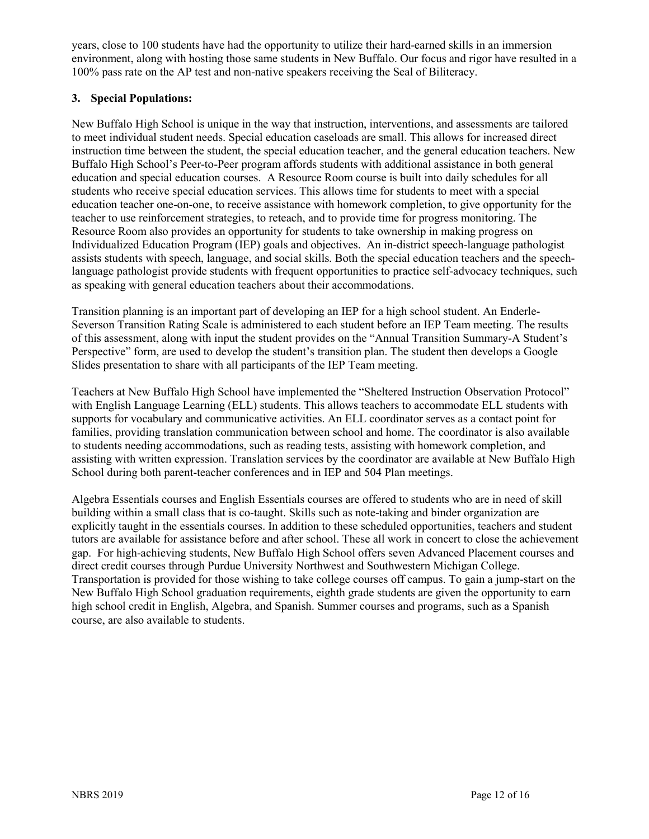years, close to 100 students have had the opportunity to utilize their hard-earned skills in an immersion environment, along with hosting those same students in New Buffalo. Our focus and rigor have resulted in a 100% pass rate on the AP test and non-native speakers receiving the Seal of Biliteracy.

# **3. Special Populations:**

New Buffalo High School is unique in the way that instruction, interventions, and assessments are tailored to meet individual student needs. Special education caseloads are small. This allows for increased direct instruction time between the student, the special education teacher, and the general education teachers. New Buffalo High School's Peer-to-Peer program affords students with additional assistance in both general education and special education courses. A Resource Room course is built into daily schedules for all students who receive special education services. This allows time for students to meet with a special education teacher one-on-one, to receive assistance with homework completion, to give opportunity for the teacher to use reinforcement strategies, to reteach, and to provide time for progress monitoring. The Resource Room also provides an opportunity for students to take ownership in making progress on Individualized Education Program (IEP) goals and objectives. An in-district speech-language pathologist assists students with speech, language, and social skills. Both the special education teachers and the speechlanguage pathologist provide students with frequent opportunities to practice self-advocacy techniques, such as speaking with general education teachers about their accommodations.

Transition planning is an important part of developing an IEP for a high school student. An Enderle-Severson Transition Rating Scale is administered to each student before an IEP Team meeting. The results of this assessment, along with input the student provides on the "Annual Transition Summary-A Student's Perspective" form, are used to develop the student's transition plan. The student then develops a Google Slides presentation to share with all participants of the IEP Team meeting.

Teachers at New Buffalo High School have implemented the "Sheltered Instruction Observation Protocol" with English Language Learning (ELL) students. This allows teachers to accommodate ELL students with supports for vocabulary and communicative activities. An ELL coordinator serves as a contact point for families, providing translation communication between school and home. The coordinator is also available to students needing accommodations, such as reading tests, assisting with homework completion, and assisting with written expression. Translation services by the coordinator are available at New Buffalo High School during both parent-teacher conferences and in IEP and 504 Plan meetings.

Algebra Essentials courses and English Essentials courses are offered to students who are in need of skill building within a small class that is co-taught. Skills such as note-taking and binder organization are explicitly taught in the essentials courses. In addition to these scheduled opportunities, teachers and student tutors are available for assistance before and after school. These all work in concert to close the achievement gap. For high-achieving students, New Buffalo High School offers seven Advanced Placement courses and direct credit courses through Purdue University Northwest and Southwestern Michigan College. Transportation is provided for those wishing to take college courses off campus. To gain a jump-start on the New Buffalo High School graduation requirements, eighth grade students are given the opportunity to earn high school credit in English, Algebra, and Spanish. Summer courses and programs, such as a Spanish course, are also available to students.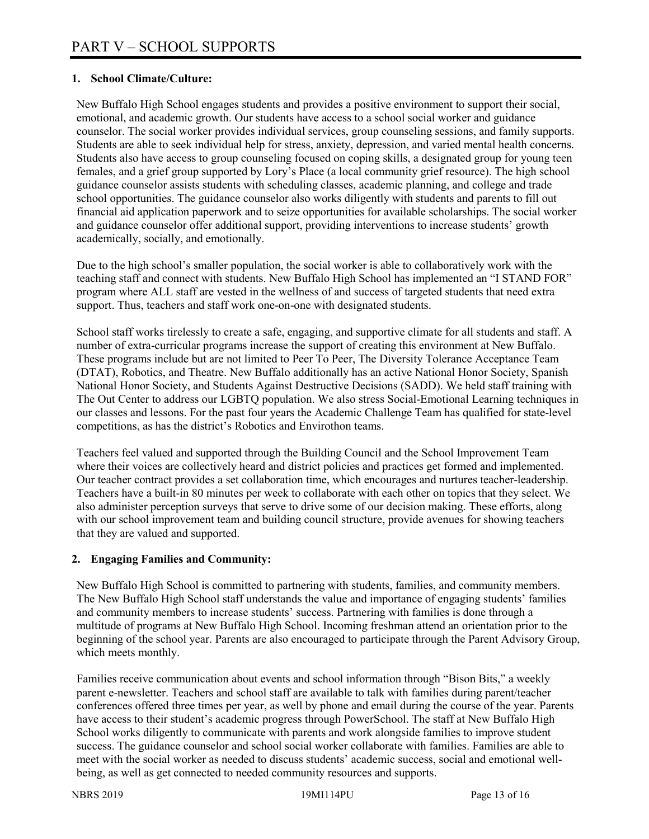# **1. School Climate/Culture:**

New Buffalo High School engages students and provides a positive environment to support their social, emotional, and academic growth. Our students have access to a school social worker and guidance counselor. The social worker provides individual services, group counseling sessions, and family supports. Students are able to seek individual help for stress, anxiety, depression, and varied mental health concerns. Students also have access to group counseling focused on coping skills, a designated group for young teen females, and a grief group supported by Lory's Place (a local community grief resource). The high school guidance counselor assists students with scheduling classes, academic planning, and college and trade school opportunities. The guidance counselor also works diligently with students and parents to fill out financial aid application paperwork and to seize opportunities for available scholarships. The social worker and guidance counselor offer additional support, providing interventions to increase students' growth academically, socially, and emotionally.

Due to the high school's smaller population, the social worker is able to collaboratively work with the teaching staff and connect with students. New Buffalo High School has implemented an "I STAND FOR" program where ALL staff are vested in the wellness of and success of targeted students that need extra support. Thus, teachers and staff work one-on-one with designated students.

School staff works tirelessly to create a safe, engaging, and supportive climate for all students and staff. A number of extra-curricular programs increase the support of creating this environment at New Buffalo. These programs include but are not limited to Peer To Peer, The Diversity Tolerance Acceptance Team (DTAT), Robotics, and Theatre. New Buffalo additionally has an active National Honor Society, Spanish National Honor Society, and Students Against Destructive Decisions (SADD). We held staff training with The Out Center to address our LGBTQ population. We also stress Social-Emotional Learning techniques in our classes and lessons. For the past four years the Academic Challenge Team has qualified for state-level competitions, as has the district's Robotics and Envirothon teams.

Teachers feel valued and supported through the Building Council and the School Improvement Team where their voices are collectively heard and district policies and practices get formed and implemented. Our teacher contract provides a set collaboration time, which encourages and nurtures teacher-leadership. Teachers have a built-in 80 minutes per week to collaborate with each other on topics that they select. We also administer perception surveys that serve to drive some of our decision making. These efforts, along with our school improvement team and building council structure, provide avenues for showing teachers that they are valued and supported.

# **2. Engaging Families and Community:**

New Buffalo High School is committed to partnering with students, families, and community members. The New Buffalo High School staff understands the value and importance of engaging students' families and community members to increase students' success. Partnering with families is done through a multitude of programs at New Buffalo High School. Incoming freshman attend an orientation prior to the beginning of the school year. Parents are also encouraged to participate through the Parent Advisory Group, which meets monthly.

Families receive communication about events and school information through "Bison Bits," a weekly parent e-newsletter. Teachers and school staff are available to talk with families during parent/teacher conferences offered three times per year, as well by phone and email during the course of the year. Parents have access to their student's academic progress through PowerSchool. The staff at New Buffalo High School works diligently to communicate with parents and work alongside families to improve student success. The guidance counselor and school social worker collaborate with families. Families are able to meet with the social worker as needed to discuss students' academic success, social and emotional wellbeing, as well as get connected to needed community resources and supports.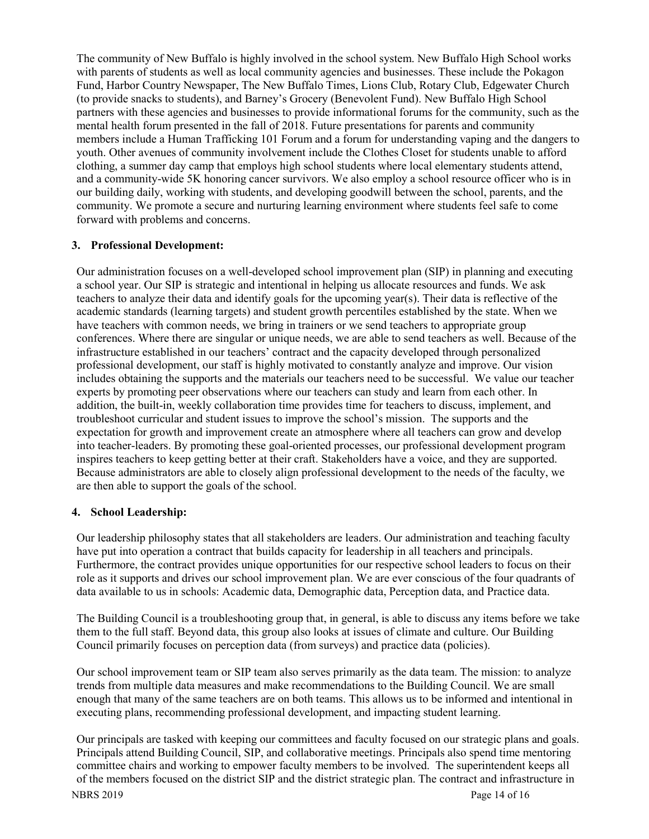The community of New Buffalo is highly involved in the school system. New Buffalo High School works with parents of students as well as local community agencies and businesses. These include the Pokagon Fund, Harbor Country Newspaper, The New Buffalo Times, Lions Club, Rotary Club, Edgewater Church (to provide snacks to students), and Barney's Grocery (Benevolent Fund). New Buffalo High School partners with these agencies and businesses to provide informational forums for the community, such as the mental health forum presented in the fall of 2018. Future presentations for parents and community members include a Human Trafficking 101 Forum and a forum for understanding vaping and the dangers to youth. Other avenues of community involvement include the Clothes Closet for students unable to afford clothing, a summer day camp that employs high school students where local elementary students attend, and a community-wide 5K honoring cancer survivors. We also employ a school resource officer who is in our building daily, working with students, and developing goodwill between the school, parents, and the community. We promote a secure and nurturing learning environment where students feel safe to come forward with problems and concerns.

## **3. Professional Development:**

Our administration focuses on a well-developed school improvement plan (SIP) in planning and executing a school year. Our SIP is strategic and intentional in helping us allocate resources and funds. We ask teachers to analyze their data and identify goals for the upcoming year(s). Their data is reflective of the academic standards (learning targets) and student growth percentiles established by the state. When we have teachers with common needs, we bring in trainers or we send teachers to appropriate group conferences. Where there are singular or unique needs, we are able to send teachers as well. Because of the infrastructure established in our teachers' contract and the capacity developed through personalized professional development, our staff is highly motivated to constantly analyze and improve. Our vision includes obtaining the supports and the materials our teachers need to be successful. We value our teacher experts by promoting peer observations where our teachers can study and learn from each other. In addition, the built-in, weekly collaboration time provides time for teachers to discuss, implement, and troubleshoot curricular and student issues to improve the school's mission. The supports and the expectation for growth and improvement create an atmosphere where all teachers can grow and develop into teacher-leaders. By promoting these goal-oriented processes, our professional development program inspires teachers to keep getting better at their craft. Stakeholders have a voice, and they are supported. Because administrators are able to closely align professional development to the needs of the faculty, we are then able to support the goals of the school.

#### **4. School Leadership:**

Our leadership philosophy states that all stakeholders are leaders. Our administration and teaching faculty have put into operation a contract that builds capacity for leadership in all teachers and principals. Furthermore, the contract provides unique opportunities for our respective school leaders to focus on their role as it supports and drives our school improvement plan. We are ever conscious of the four quadrants of data available to us in schools: Academic data, Demographic data, Perception data, and Practice data.

The Building Council is a troubleshooting group that, in general, is able to discuss any items before we take them to the full staff. Beyond data, this group also looks at issues of climate and culture. Our Building Council primarily focuses on perception data (from surveys) and practice data (policies).

Our school improvement team or SIP team also serves primarily as the data team. The mission: to analyze trends from multiple data measures and make recommendations to the Building Council. We are small enough that many of the same teachers are on both teams. This allows us to be informed and intentional in executing plans, recommending professional development, and impacting student learning.

Our principals are tasked with keeping our committees and faculty focused on our strategic plans and goals. Principals attend Building Council, SIP, and collaborative meetings. Principals also spend time mentoring committee chairs and working to empower faculty members to be involved. The superintendent keeps all of the members focused on the district SIP and the district strategic plan. The contract and infrastructure in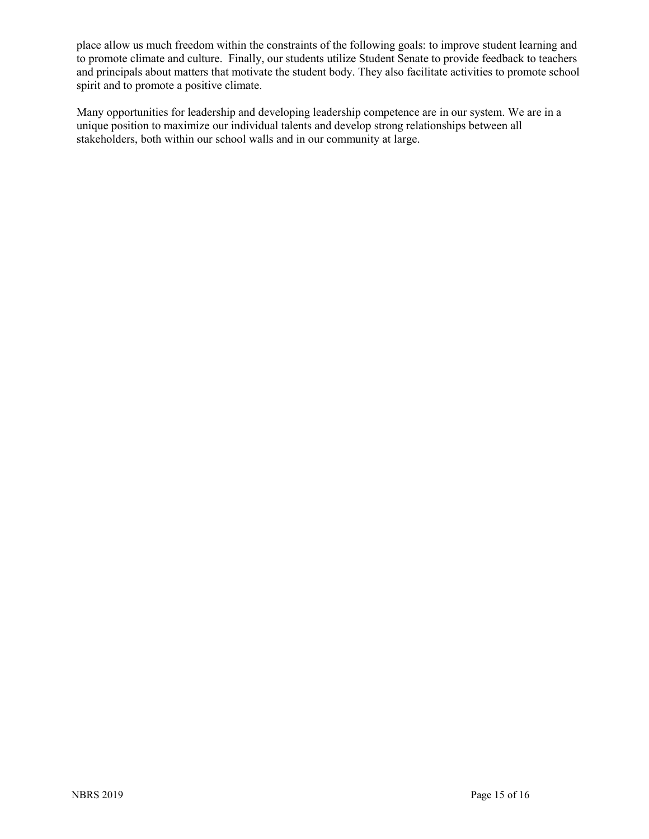place allow us much freedom within the constraints of the following goals: to improve student learning and to promote climate and culture. Finally, our students utilize Student Senate to provide feedback to teachers and principals about matters that motivate the student body. They also facilitate activities to promote school spirit and to promote a positive climate.

Many opportunities for leadership and developing leadership competence are in our system. We are in a unique position to maximize our individual talents and develop strong relationships between all stakeholders, both within our school walls and in our community at large.